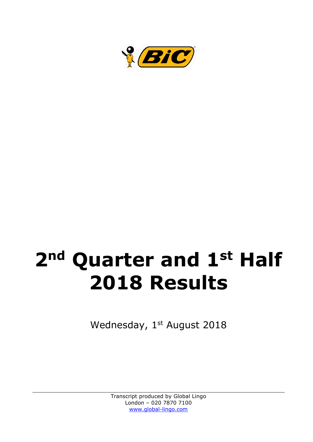

# **2nd Quarter and 1st Half 2018 Results**

Wednesday, 1st August 2018

Transcript produced by Global Lingo London – 020 7870 7100 [www.global-lingo.com](http://www.global-lingo.com/)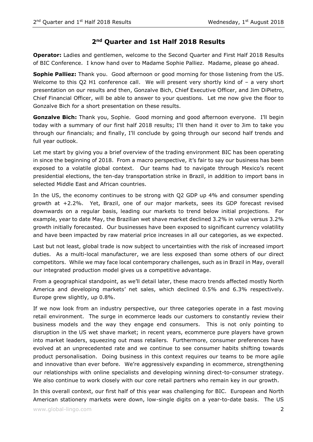## **2nd Quarter and 1st Half 2018 Results**

**Operator:** Ladies and gentlemen, welcome to the Second Quarter and First Half 2018 Results of BIC Conference. I know hand over to Madame Sophie Palliez. Madame, please go ahead.

**Sophie Palliez:** Thank you. Good afternoon or good morning for those listening from the US. Welcome to this Q2 H1 conference call. We will present very shortly kind of - a very short presentation on our results and then, Gonzalve Bich, Chief Executive Officer, and Jim DiPietro, Chief Financial Officer, will be able to answer to your questions. Let me now give the floor to Gonzalve Bich for a short presentation on these results.

**Gonzalve Bich:** Thank you, Sophie. Good morning and good afternoon everyone. I'll begin today with a summary of our first half 2018 results; I'll then hand it over to Jim to take you through our financials; and finally, I'll conclude by going through our second half trends and full year outlook.

Let me start by giving you a brief overview of the trading environment BIC has been operating in since the beginning of 2018. From a macro perspective, it's fair to say our business has been exposed to a volatile global context. Our teams had to navigate through Mexico's recent presidential elections, the ten-day transportation strike in Brazil, in addition to import bans in selected Middle East and African countries.

In the US, the economy continues to be strong with Q2 GDP up 4% and consumer spending growth at +2.2%. Yet, Brazil, one of our major markets, sees its GDP forecast revised downwards on a regular basis, leading our markets to trend below initial projections. For example, year to date May, the Brazilian wet shave market declined 3.2% in value versus 3.2% growth initially forecasted. Our businesses have been exposed to significant currency volatility and have been impacted by raw material price increases in all our categories, as we expected.

Last but not least, global trade is now subject to uncertainties with the risk of increased import duties. As a multi-local manufacturer, we are less exposed than some others of our direct competitors. While we may face local contemporary challenges, such as in Brazil in May, overall our integrated production model gives us a competitive advantage.

From a geographical standpoint, as we'll detail later, these macro trends affected mostly North America and developing markets' net sales, which declined 0.5% and 6.3% respectively. Europe grew slightly, up 0.8%.

If we now look from an industry perspective, our three categories operate in a fast moving retail environment. The surge in ecommerce leads our customers to constantly review their business models and the way they engage end consumers. This is not only pointing to disruption in the US wet shave market; in recent years, ecommerce pure players have grown into market leaders, squeezing out mass retailers. Furthermore, consumer preferences have evolved at an unprecedented rate and we continue to see consumer habits shifting towards product personalisation. Doing business in this context requires our teams to be more agile and innovative than ever before. We're aggressively expanding in ecommerce, strengthening our relationships with online specialists and developing winning direct-to-consumer strategy. We also continue to work closely with our core retail partners who remain key in our growth.

In this overall context, our first half of this year was challenging for BIC. European and North American stationery markets were down, low-single digits on a year-to-date basis. The US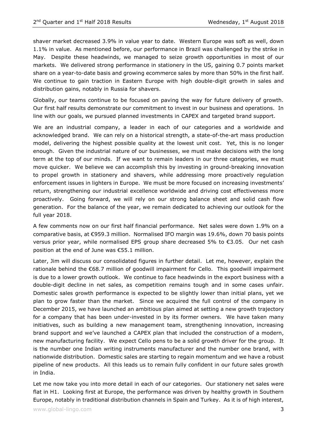shaver market decreased 3.9% in value year to date. Western Europe was soft as well, down 1.1% in value. As mentioned before, our performance in Brazil was challenged by the strike in May. Despite these headwinds, we managed to seize growth opportunities in most of our markets. We delivered strong performance in stationery in the US, gaining 0.7 points market share on a year-to-date basis and growing ecommerce sales by more than 50% in the first half. We continue to gain traction in Eastern Europe with high double-digit growth in sales and distribution gains, notably in Russia for shavers.

Globally, our teams continue to be focused on paving the way for future delivery of growth. Our first half results demonstrate our commitment to invest in our business and operations. In line with our goals, we pursued planned investments in CAPEX and targeted brand support.

We are an industrial company, a leader in each of our categories and a worldwide and acknowledged brand. We can rely on a historical strength, a state-of-the-art mass production model, delivering the highest possible quality at the lowest unit cost. Yet, this is no longer enough. Given the industrial nature of our businesses, we must make decisions with the long term at the top of our minds. If we want to remain leaders in our three categories, we must move quicker. We believe we can accomplish this by investing in ground-breaking innovation to propel growth in stationery and shavers, while addressing more proactively regulation enforcement issues in lighters in Europe. We must be more focused on increasing investments' return, strengthening our industrial excellence worldwide and driving cost effectiveness more proactively. Going forward, we will rely on our strong balance sheet and solid cash flow generation. For the balance of the year, we remain dedicated to achieving our outlook for the full year 2018.

A few comments now on our first half financial performance. Net sales were down 1.9% on a comparative basis, at €959.3 million. Normalised IFO margin was 19.6%, down 70 basis points versus prior year, while normalised EPS group share decreased 5% to €3.05. Our net cash position at the end of June was €55.1 million.

Later, Jim will discuss our consolidated figures in further detail. Let me, however, explain the rationale behind the €68.7 million of goodwill impairment for Cello. This goodwill impairment is due to a lower growth outlook. We continue to face headwinds in the export business with a double-digit decline in net sales, as competition remains tough and in some cases unfair. Domestic sales growth performance is expected to be slightly lower than initial plans, yet we plan to grow faster than the market. Since we acquired the full control of the company in December 2015, we have launched an ambitious plan aimed at setting a new growth trajectory for a company that has been under-invested in by its former owners. We have taken many initiatives, such as building a new management team, strengthening innovation, increasing brand support and we've launched a CAPEX plan that included the construction of a modern, new manufacturing facility. We expect Cello pens to be a solid growth driver for the group. It is the number one Indian writing instruments manufacturer and the number one brand, with nationwide distribution. Domestic sales are starting to regain momentum and we have a robust pipeline of new products. All this leads us to remain fully confident in our future sales growth in India.

Let me now take you into more detail in each of our categories. Our stationery net sales were flat in H1. Looking first at Europe, the performance was driven by healthy growth in Southern Europe, notably in traditional distribution channels in Spain and Turkey. As it is of high interest,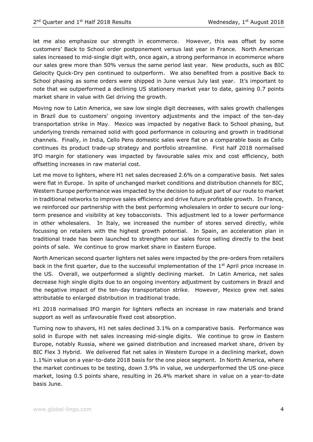let me also emphasize our strength in ecommerce. However, this was offset by some customers' Back to School order postponement versus last year in France. North American sales increased to mid-single digit with, once again, a strong performance in ecommerce where our sales grew more than 50% versus the same period last year. New products, such as BIC Gelocity Quick-Dry pen continued to outperform. We also benefited from a positive Back to School phasing as some orders were shipped in June versus July last year. It's important to note that we outperformed a declining US stationery market year to date, gaining 0.7 points market share in value with Gel driving the growth.

Moving now to Latin America, we saw low single digit decreases, with sales growth challenges in Brazil due to customers' ongoing inventory adjustments and the impact of the ten-day transportation strike in May. Mexico was impacted by negative Back to School phasing, but underlying trends remained solid with good performance in colouring and growth in traditional channels. Finally, in India, Cello Pens domestic sales were flat on a comparable basis as Cello continues its product trade-up strategy and portfolio streamline. First half 2018 normalised IFO margin for stationery was impacted by favourable sales mix and cost efficiency, both offsetting increases in raw material cost.

Let me move to lighters, where H1 net sales decreased 2.6% on a comparative basis. Net sales were flat in Europe. In spite of unchanged market conditions and distribution channels for BIC, Western Europe performance was impacted by the decision to adjust part of our route to market in traditional networks to improve sales efficiency and drive future profitable growth. In France, we reinforced our partnership with the best performing wholesalers in order to secure our longterm presence and visibility at key tobacconists. This adjustment led to a lower performance in other wholesalers. In Italy, we increased the number of stores served directly, while focussing on retailers with the highest growth potential. In Spain, an acceleration plan in traditional trade has been launched to strengthen our sales force selling directly to the best points of sale. We continue to grow market share in Eastern Europe.

North American second quarter lighters net sales were impacted by the pre-orders from retailers back in the first quarter, due to the successful implementation of the  $1<sup>st</sup>$  April price increase in the US. Overall, we outperformed a slightly declining market. In Latin America, net sales decrease high single digits due to an ongoing inventory adjustment by customers in Brazil and the negative impact of the ten-day transportation strike. However, Mexico grew net sales attributable to enlarged distribution in traditional trade.

H1 2018 normalised IFO margin for lighters reflects an increase in raw materials and brand support as well as unfavourable fixed cost absorption.

Turning now to shavers, H1 net sales declined 3.1% on a comparative basis. Performance was solid in Europe with net sales increasing mid-single digits. We continue to grow in Eastern Europe, notably Russia, where we gained distribution and increased market share, driven by BIC Flex 3 Hybrid. We delivered flat net sales in Western Europe in a declining market, down 1.1%in value on a year-to-date 2018 basis for the one piece segment. In North America, where the market continues to be testing, down 3.9% in value, we underperformed the US one-piece market, losing 0.5 points share, resulting in 26.4% market share in value on a year-to-date basis June.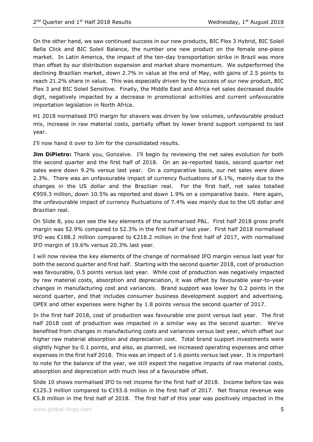On the other hand, we saw continued success in our new products, BIC Flex 3 Hybrid, BIC Soleil Bella Click and BIC Soleil Balance, the number one new product on the female one-piece market. In Latin America, the impact of the ten-day transportation strike in Brazil was more than offset by our distribution expansion and market share momentum. We outperformed the declining Brazilian market, down 2.7% in value at the end of May, with gains of 2.5 points to reach 21.2% share in value. This was especially driven by the success of our new product, BIC Flex 3 and BIC Soleil Sensitive. Finally, the Middle East and Africa net sales decreased double digit, negatively impacted by a decrease in promotional activities and current unfavourable importation legislation in North Africa.

H1 2018 normalised IFO margin for shavers was driven by low volumes, unfavourable product mix, increase in raw material costs, partially offset by lower brand support compared to last year.

I'll now hand it over to Jim for the consolidated results.

**Jim DiPietro:** Thank you, Gonzalve. I'll begin by reviewing the net sales evolution for both the second quarter and the first half of 2018. On an as-reported basis, second quarter net sales were down 9.2% versus last year. On a comparative basis, our net sales were down 2.3%. There was an unfavourable impact of currency fluctuations of 6.1%, mainly due to the changes in the US dollar and the Brazilian real. For the first half, net sales totalled €959.3 million, down 10.5% as reported and down 1.9% on a comparative basis. Here again, the unfavourable impact of currency fluctuations of 7.4% was mainly due to the US dollar and Brazilian real.

On Slide 8, you can see the key elements of the summarised P&L. First half 2018 gross profit margin was 52.9% compared to 52.3% in the first half of last year. First half 2018 normalised IFO was €188.2 million compared to €218.2 million in the first half of 2017, with normalised IFO margin of 19.6% versus 20.3% last year.

I will now review the key elements of the change of normalised IFO margin versus last year for both the second quarter and first half. Starting with the second quarter 2018, cost of production was favourable, 0.5 points versus last year. While cost of production was negatively impacted by raw material costs, absorption and depreciation, it was offset by favourable year-to-year changes in manufacturing cost and variances. Brand support was lower by 0.2 points in the second quarter, and that includes consumer business development support and advertising. OPEX and other expenses were higher by 1.8 points versus the second quarter of 2017.

In the first half 2018, cost of production was favourable one point versus last year. The first half 2018 cost of production was impacted in a similar way as the second quarter. We've benefited from changes in manufacturing costs and variances versus last year, which offset our higher raw material absorption and depreciation cost. Total brand support investments were slightly higher by 0.1 points, and also, as planned, we increased operating expenses and other expenses in the first half 2018. This was an impact of 1.6 points versus last year. It is important to note for the balance of the year, we still expect the negative impacts of raw material costs, absorption and depreciation with much less of a favourable offset.

Slide 10 shows normalised IFO to net income for the first half of 2018. Income before tax was €125.3 million compared to €193.6 million in the first half of 2017. Net finance revenue was €5.8 million in the first half of 2018. The first half of this year was positively impacted in the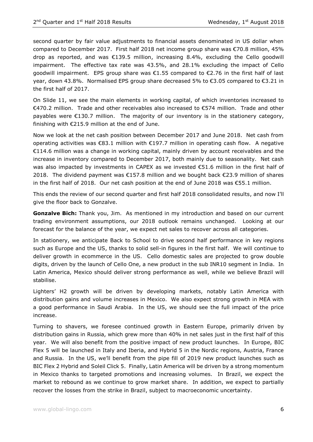second quarter by fair value adjustments to financial assets denominated in US dollar when compared to December 2017. First half 2018 net income group share was €70.8 million, 45% drop as reported, and was €139.5 million, increasing 8.4%, excluding the Cello goodwill impairment. The effective tax rate was 43.5%, and 28.1% excluding the impact of Cello goodwill impairment. EPS group share was  $\epsilon$ 1.55 compared to  $\epsilon$ 2.76 in the first half of last year, down 43.8%. Normalised EPS group share decreased 5% to €3.05 compared to €3.21 in the first half of 2017.

On Slide 11, we see the main elements in working capital, of which inventories increased to €470.2 million. Trade and other receivables also increased to €574 million. Trade and other payables were €130.7 million. The majority of our inventory is in the stationery category, finishing with  $E$ 215.9 million at the end of June.

Now we look at the net cash position between December 2017 and June 2018. Net cash from operating activities was €83.1 million with €197.7 million in operating cash flow. A negative €114.6 million was a change in working capital, mainly driven by account receivables and the increase in inventory compared to December 2017, both mainly due to seasonality. Net cash was also impacted by investments in CAPEX as we invested €51.6 million in the first half of 2018. The dividend payment was  $\epsilon$ 157.8 million and we bought back  $\epsilon$ 23.9 million of shares in the first half of 2018. Our net cash position at the end of June 2018 was €55.1 million.

This ends the review of our second quarter and first half 2018 consolidated results, and now I'll give the floor back to Gonzalve.

**Gonzalve Bich:** Thank you, Jim. As mentioned in my introduction and based on our current trading environment assumptions, our 2018 outlook remains unchanged. Looking at our forecast for the balance of the year, we expect net sales to recover across all categories.

In stationery, we anticipate Back to School to drive second half performance in key regions such as Europe and the US, thanks to solid sell-in figures in the first half. We will continue to deliver growth in ecommerce in the US. Cello domestic sales are projected to grow double digits, driven by the launch of Cello One, a new product in the sub INR10 segment in India. In Latin America, Mexico should deliver strong performance as well, while we believe Brazil will stabilise.

Lighters' H2 growth will be driven by developing markets, notably Latin America with distribution gains and volume increases in Mexico. We also expect strong growth in MEA with a good performance in Saudi Arabia. In the US, we should see the full impact of the price increase.

Turning to shavers, we foresee continued growth in Eastern Europe, primarily driven by distribution gains in Russia, which grew more than 40% in net sales just in the first half of this year. We will also benefit from the positive impact of new product launches. In Europe, BIC Flex 5 will be launched in Italy and Iberia, and Hybrid 5 in the Nordic regions, Austria, France and Russia. In the US, we'll benefit from the pipe fill of 2019 new product launches such as BIC Flex 2 Hybrid and Soleil Click 5. Finally, Latin America will be driven by a strong momentum in Mexico thanks to targeted promotions and increasing volumes. In Brazil, we expect the market to rebound as we continue to grow market share. In addition, we expect to partially recover the losses from the strike in Brazil, subject to macroeconomic uncertainty.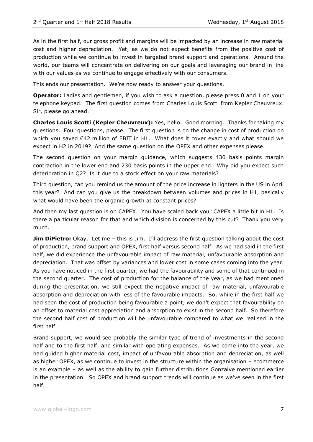As in the first half, our gross profit and margins will be impacted by an increase in raw material cost and higher depreciation. Yet, as we do not expect benefits from the positive cost of production while we continue to invest in targeted brand support and operations. Around the world, our teams will concentrate on delivering on our goals and leveraging our brand in line with our values as we continue to engage effectively with our consumers.

This ends our presentation. We're now ready to answer your questions.

**Operator:** Ladies and gentlemen, if you wish to ask a question, please press 0 and 1 on your telephone keypad. The first question comes from Charles Louis Scotti from Kepler Cheuvreux. Sir, please go ahead.

**Charles Louis Scotti (Kepler Cheuvreux):** Yes, hello. Good morning. Thanks for taking my questions. Four questions, please. The first question is on the change in cost of production on which you saved €42 million of EBIT in H1. What does it cover exactly and what should we expect in H2 in 2019? And the same question on the OPEX and other expenses please.

The second question on your margin guidance, which suggests 430 basis points margin contraction in the lower end and 230 basis points in the upper end. Why did you expect such deterioration in Q2? Is it due to a stock effect on your raw materials?

Third question, can you remind us the amount of the price increase in lighters in the US in April this year? And can you give us the breakdown between volumes and prices in H1, basically what would have been the organic growth at constant prices?

And then my last question is on CAPEX. You have scaled back your CAPEX a little bit in H1. Is there a particular reason for that and which division is concerned by this cut? Thank you very much.

**Jim DiPietro:** Okay. Let me – this is Jim. I'll address the first question talking about the cost of production, brand support and OPEX, first half versus second half. As we had said in the first half, we did experience the unfavourable impact of raw material, unfavourable absorption and depreciation. That was offset by variances and lower cost in some cases coming into the year. As you have noticed in the first quarter, we had the favourability and some of that continued in the second quarter. The cost of production for the balance of the year, as we had mentioned during the presentation, we still expect the negative impact of raw material, unfavourable absorption and depreciation with less of the favourable impacts. So, while in the first half we had seen the cost of production being favourable a point, we don't expect that favourability on an offset to material cost appreciation and absorption to exist in the second half. So therefore the second half cost of production will be unfavourable compared to what we realised in the first half.

Brand support, we would see probably the similar type of trend of investments in the second half and to the first half, and similar with operating expenses. As we come into the year, we had guided higher material cost, impact of unfavourable absorption and depreciation, as well as higher OPEX, as we continue to invest in the structure within the organisation – ecommerce is an example – as well as the ability to gain further distributions Gonzalve mentioned earlier in the presentation. So OPEX and brand support trends will continue as we've seen in the first half.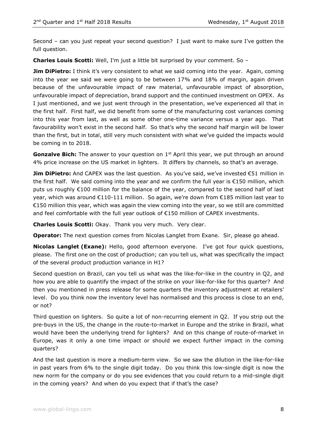Second – can you just repeat your second question? I just want to make sure I've gotten the full question.

**Charles Louis Scotti:** Well, I'm just a little bit surprised by your comment. So –

**Jim DiPietro:** I think it's very consistent to what we said coming into the year. Again, coming into the year we said we were going to be between 17% and 18% of margin, again driven because of the unfavourable impact of raw material, unfavourable impact of absorption, unfavourable impact of depreciation, brand support and the continued investment on OPEX. As I just mentioned, and we just went through in the presentation, we've experienced all that in the first half. First half, we did benefit from some of the manufacturing cost variances coming into this year from last, as well as some other one-time variance versus a year ago. That favourability won't exist in the second half. So that's why the second half margin will be lower than the first, but in total, still very much consistent with what we've guided the impacts would be coming in to 2018.

**Gonzalve Bich:** The answer to your question on 1<sup>st</sup> April this year, we put through an around 4% price increase on the US market in lighters. It differs by channels, so that's an average.

**Jim DiPietro:** And CAPEX was the last question. As you've said, we've invested €51 million in the first half. We said coming into the year and we confirm the full year is €150 million, which puts us roughly €100 million for the balance of the year, compared to the second half of last year, which was around €110-111 million. So again, we're down from €185 million last year to €150 million this year, which was again the view coming into the year, so we still are committed and feel comfortable with the full year outlook of €150 million of CAPEX investments.

**Charles Louis Scotti:** Okay. Thank you very much. Very clear.

**Operator:** The next question comes from Nicolas Langlet from Exane. Sir, please go ahead.

**Nicolas Langlet (Exane):** Hello, good afternoon everyone. I've got four quick questions, please. The first one on the cost of production; can you tell us, what was specifically the impact of the several product production variance in H1?

Second question on Brazil, can you tell us what was the like-for-like in the country in Q2, and how you are able to quantify the impact of the strike on your like-for-like for this quarter? And then you mentioned in press release for some quarters the inventory adjustment at retailers' level. Do you think now the inventory level has normalised and this process is close to an end, or not?

Third question on lighters. So quite a lot of non-recurring element in Q2. If you strip out the pre-buys in the US, the change in the route-to-market in Europe and the strike in Brazil, what would have been the underlying trend for lighters? And on this change of route-of-market in Europe, was it only a one time impact or should we expect further impact in the coming quarters?

And the last question is more a medium-term view. So we saw the dilution in the like-for-like in past years from 6% to the single digit today. Do you think this low-single digit is now the new norm for the company or do you see evidences that you could return to a mid-single digit in the coming years? And when do you expect that if that's the case?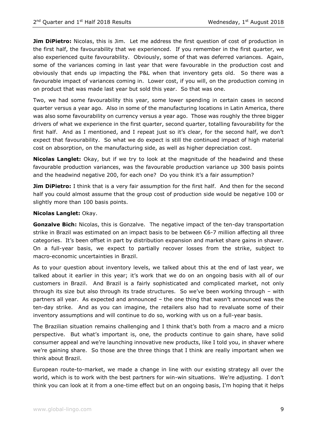**Jim DiPietro:** Nicolas, this is Jim. Let me address the first question of cost of production in the first half, the favourability that we experienced. If you remember in the first quarter, we also experienced quite favourability. Obviously, some of that was deferred variances. Again, some of the variances coming in last year that were favourable in the production cost and obviously that ends up impacting the P&L when that inventory gets old. So there was a favourable impact of variances coming in. Lower cost, if you will, on the production coming in on product that was made last year but sold this year. So that was one.

Two, we had some favourability this year, some lower spending in certain cases in second quarter versus a year ago. Also in some of the manufacturing locations in Latin America, there was also some favourability on currency versus a year ago. Those was roughly the three bigger drivers of what we experience in the first quarter, second quarter, totalling favourability for the first half. And as I mentioned, and I repeat just so it's clear, for the second half, we don't expect that favourability. So what we do expect is still the continued impact of high material cost on absorption, on the manufacturing side, as well as higher depreciation cost.

**Nicolas Langlet:** Okay, but if we try to look at the magnitude of the headwind and these favourable production variances, was the favourable production variance up 300 basis points and the headwind negative 200, for each one? Do you think it's a fair assumption?

**Jim DiPietro:** I think that is a very fair assumption for the first half. And then for the second half you could almost assume that the group cost of production side would be negative 100 or slightly more than 100 basis points.

#### **Nicolas Langlet:** Okay.

**Gonzalve Bich:** Nicolas, this is Gonzalve. The negative impact of the ten-day transportation strike in Brazil was estimated on an impact basis to be between €6-7 million affecting all three categories. It's been offset in part by distribution expansion and market share gains in shaver. On a full-year basis, we expect to partially recover losses from the strike, subject to macro-economic uncertainties in Brazil.

As to your question about inventory levels, we talked about this at the end of last year, we talked about it earlier in this year; it's work that we do on an ongoing basis with all of our customers in Brazil. And Brazil is a fairly sophisticated and complicated market, not only through its size but also through its trade structures. So we've been working through – with partners all year. As expected and announced – the one thing that wasn't announced was the ten-day strike. And as you can imagine, the retailers also had to revaluate some of their inventory assumptions and will continue to do so, working with us on a full-year basis.

The Brazilian situation remains challenging and I think that's both from a macro and a micro perspective. But what's important is, one, the products continue to gain share, have solid consumer appeal and we're launching innovative new products, like I told you, in shaver where we're gaining share. So those are the three things that I think are really important when we think about Brazil.

European route-to-market, we made a change in line with our existing strategy all over the world, which is to work with the best partners for win-win situations. We're adjusting. I don't think you can look at it from a one-time effect but on an ongoing basis, I'm hoping that it helps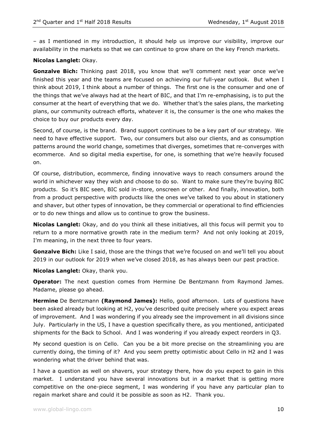– as I mentioned in my introduction, it should help us improve our visibility, improve our availability in the markets so that we can continue to grow share on the key French markets.

#### **Nicolas Langlet:** Okay.

**Gonzalve Bich:** Thinking past 2018, you know that we'll comment next year once we've finished this year and the teams are focused on achieving our full-year outlook. But when I think about 2019, I think about a number of things. The first one is the consumer and one of the things that we've always had at the heart of BIC, and that I'm re-emphasising, is to put the consumer at the heart of everything that we do. Whether that's the sales plans, the marketing plans, our community outreach efforts, whatever it is, the consumer is the one who makes the choice to buy our products every day.

Second, of course, is the brand. Brand support continues to be a key part of our strategy. We need to have effective support. Two, our consumers but also our clients, and as consumption patterns around the world change, sometimes that diverges, sometimes that re-converges with ecommerce. And so digital media expertise, for one, is something that we're heavily focused on.

Of course, distribution, ecommerce, finding innovative ways to reach consumers around the world in whichever way they wish and choose to do so. Want to make sure they're buying BIC products. So it's BIC seen, BIC sold in-store, onscreen or other. And finally, innovation, both from a product perspective with products like the ones we've talked to you about in stationery and shaver, but other types of innovation, be they commercial or operational to find efficiencies or to do new things and allow us to continue to grow the business.

**Nicolas Langlet:** Okay, and do you think all these initiatives, all this focus will permit you to return to a more normative growth rate in the medium term? And not only looking at 2019, I'm meaning, in the next three to four years.

**Gonzalve Bich:** Like I said, those are the things that we're focused on and we'll tell you about 2019 in our outlook for 2019 when we've closed 2018, as has always been our past practice.

#### **Nicolas Langlet:** Okay, thank you.

**Operator:** The next question comes from Hermine De Bentzmann from Raymond James. Madame, please go ahead.

**Hermine** De Bentzmann **(Raymond James):** Hello, good afternoon. Lots of questions have been asked already but looking at H2, you've described quite precisely where you expect areas of improvement. And I was wondering if you already see the improvement in all divisions since July. Particularly in the US, I have a question specifically there, as you mentioned, anticipated shipments for the Back to School. And I was wondering if you already expect reorders in Q3.

My second question is on Cello. Can you be a bit more precise on the streamlining you are currently doing, the timing of it? And you seem pretty optimistic about Cello in H2 and I was wondering what the driver behind that was.

I have a question as well on shavers, your strategy there, how do you expect to gain in this market. I understand you have several innovations but in a market that is getting more competitive on the one-piece segment, I was wondering if you have any particular plan to regain market share and could it be possible as soon as H2. Thank you.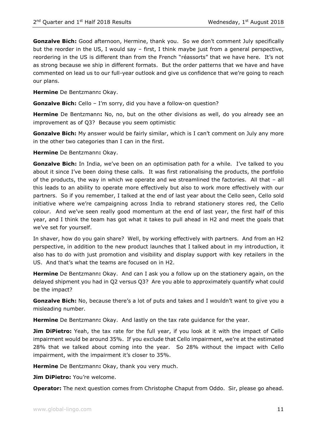**Gonzalve Bich:** Good afternoon, Hermine, thank you. So we don't comment July specifically but the reorder in the US, I would say - first, I think maybe just from a general perspective, reordering in the US is different than from the French "réassorts" that we have here. It's not as strong because we ship in different formats. But the order patterns that we have and have commented on lead us to our full-year outlook and give us confidence that we're going to reach our plans.

**Hermine** De Bentzmann**:** Okay.

**Gonzalve Bich:** Cello – I'm sorry, did you have a follow-on question?

**Hermine** De Bentzmann**:** No, no, but on the other divisions as well, do you already see an improvement as of Q3? Because you seem optimistic

**Gonzalve Bich:** My answer would be fairly similar, which is I can't comment on July any more in the other two categories than I can in the first.

**Hermine** De Bentzmann**:** Okay.

**Gonzalve Bich:** In India, we've been on an optimisation path for a while. I've talked to you about it since I've been doing these calls. It was first rationalising the products, the portfolio of the products, the way in which we operate and we streamlined the factories. All that – all this leads to an ability to operate more effectively but also to work more effectively with our partners. So if you remember, I talked at the end of last year about the Cello seen, Cello sold initiative where we're campaigning across India to rebrand stationery stores red, the Cello colour. And we've seen really good momentum at the end of last year, the first half of this year, and I think the team has got what it takes to pull ahead in H2 and meet the goals that we've set for yourself.

In shaver, how do you gain share? Well, by working effectively with partners. And from an H2 perspective, in addition to the new product launches that I talked about in my introduction, it also has to do with just promotion and visibility and display support with key retailers in the US. And that's what the teams are focused on in H2.

**Hermine** De Bentzmann**:** Okay. And can I ask you a follow up on the stationery again, on the delayed shipment you had in Q2 versus Q3? Are you able to approximately quantify what could be the impact?

**Gonzalve Bich:** No, because there's a lot of puts and takes and I wouldn't want to give you a misleading number.

**Hermine** De Bentzmann**:** Okay. And lastly on the tax rate guidance for the year.

**Jim DiPietro:** Yeah, the tax rate for the full year, if you look at it with the impact of Cello impairment would be around 35%. If you exclude that Cello impairment, we're at the estimated 28% that we talked about coming into the year. So 28% without the impact with Cello impairment, with the impairment it's closer to 35%.

**Hermine** De Bentzmann**:** Okay, thank you very much.

**Jim DiPietro:** You're welcome.

**Operator:** The next question comes from Christophe Chaput from Oddo. Sir, please go ahead.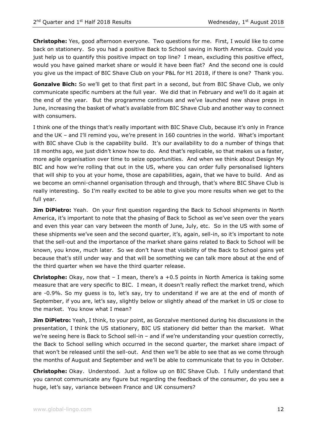**Christophe:** Yes, good afternoon everyone. Two questions for me. First, I would like to come back on stationery. So you had a positive Back to School saving in North America. Could you just help us to quantify this positive impact on top line? I mean, excluding this positive effect, would you have gained market share or would it have been flat? And the second one is could you give us the impact of BIC Shave Club on your P&L for H1 2018, if there is one? Thank you.

**Gonzalve Bich:** So we'll get to that first part in a second, but from BIC Shave Club, we only communicate specific numbers at the full year. We did that in February and we'll do it again at the end of the year. But the programme continues and we've launched new shave preps in June, increasing the basket of what's available from BIC Shave Club and another way to connect with consumers.

I think one of the things that's really important with BIC Shave Club, because it's only in France and the UK – and I'll remind you, we're present in 160 countries in the world. What's important with BIC shave Club is the capability build. It's our availability to do a number of things that 18 months ago, we just didn't know how to do. And that's replicable, so that makes us a faster, more agile organisation over time to seize opportunities. And when we think about Design My BIC and how we're rolling that out in the US, where you can order fully personalised lighters that will ship to you at your home, those are capabilities, again, that we have to build. And as we become an omni-channel organisation through and through, that's where BIC Shave Club is really interesting. So I'm really excited to be able to give you more results when we get to the full year.

**Jim DiPietro:** Yeah. On your first question regarding the Back to School shipments in North America, it's important to note that the phasing of Back to School as we've seen over the years and even this year can vary between the month of June, July, etc. So in the US with some of these shipments we've seen and the second quarter, it's, again, sell-in, so it's important to note that the sell-out and the importance of the market share gains related to Back to School will be known, you know, much later. So we don't have that visibility of the Back to School gains yet because that's still under way and that will be something we can talk more about at the end of the third quarter when we have the third quarter release.

**Christophe:** Okay, now that – I mean, there's a +0.5 points in North America is taking some measure that are very specific to BIC. I mean, it doesn't really reflect the market trend, which are -0.9%. So my guess is to, let's say, try to understand if we are at the end of month of September, if you are, let's say, slightly below or slightly ahead of the market in US or close to the market. You know what I mean?

**Jim DiPietro:** Yeah, I think, to your point, as Gonzalve mentioned during his discussions in the presentation, I think the US stationery, BIC US stationery did better than the market. What we're seeing here is Back to School sell-in – and if we're understanding your question correctly, the Back to School selling which occurred in the second quarter, the market share impact of that won't be released until the sell-out. And then we'll be able to see that as we come through the months of August and September and we'll be able to communicate that to you in October.

**Christophe:** Okay. Understood. Just a follow up on BIC Shave Club. I fully understand that you cannot communicate any figure but regarding the feedback of the consumer, do you see a huge, let's say, variance between France and UK consumers?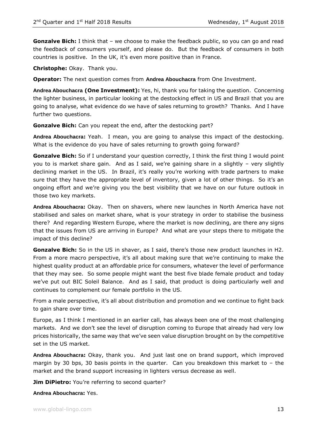**Gonzalve Bich:** I think that – we choose to make the feedback public, so you can go and read the feedback of consumers yourself, and please do. But the feedback of consumers in both countries is positive. In the UK, it's even more positive than in France.

**Christophe:** Okay. Thank you.

**Operator:** The next question comes from **Andrea Abouchacra** from One Investment.

**Andrea Abouchacra (One Investment):** Yes, hi, thank you for taking the question. Concerning the lighter business, in particular looking at the destocking effect in US and Brazil that you are going to analyse, what evidence do we have of sales returning to growth? Thanks. And I have further two questions.

**Gonzalve Bich:** Can you repeat the end, after the destocking part?

**Andrea Abouchacra:** Yeah. I mean, you are going to analyse this impact of the destocking. What is the evidence do you have of sales returning to growth going forward?

**Gonzalve Bich:** So if I understand your question correctly, I think the first thing I would point you to is market share gain. And as I said, we're gaining share in a slightly – very slightly declining market in the US. In Brazil, it's really you're working with trade partners to make sure that they have the appropriate level of inventory, given a lot of other things. So it's an ongoing effort and we're giving you the best visibility that we have on our future outlook in those two key markets.

**Andrea Abouchacra:** Okay. Then on shavers, where new launches in North America have not stabilised and sales on market share, what is your strategy in order to stabilise the business there? And regarding Western Europe, where the market is now declining, are there any signs that the issues from US are arriving in Europe? And what are your steps there to mitigate the impact of this decline?

**Gonzalve Bich:** So in the US in shaver, as I said, there's those new product launches in H2. From a more macro perspective, it's all about making sure that we're continuing to make the highest quality product at an affordable price for consumers, whatever the level of performance that they may see. So some people might want the best five blade female product and today we've put out BIC Soleil Balance. And as I said, that product is doing particularly well and continues to complement our female portfolio in the US.

From a male perspective, it's all about distribution and promotion and we continue to fight back to gain share over time.

Europe, as I think I mentioned in an earlier call, has always been one of the most challenging markets. And we don't see the level of disruption coming to Europe that already had very low prices historically, the same way that we've seen value disruption brought on by the competitive set in the US market.

**Andrea Abouchacra:** Okay, thank you. And just last one on brand support, which improved margin by 30 bps, 30 basis points in the quarter. Can you breakdown this market to – the market and the brand support increasing in lighters versus decrease as well.

**Jim DiPietro:** You're referring to second quarter?

**Andrea Abouchacra:** Yes.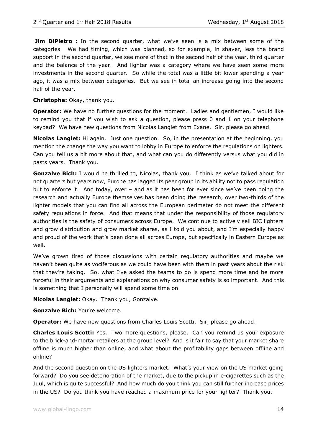**Jim DiPietro** : In the second quarter, what we've seen is a mix between some of the categories. We had timing, which was planned, so for example, in shaver, less the brand support in the second quarter, we see more of that in the second half of the year, third quarter and the balance of the year. And lighter was a category where we have seen some more investments in the second quarter. So while the total was a little bit lower spending a year ago, it was a mix between categories. But we see in total an increase going into the second half of the year.

**Christophe:** Okay, thank you.

**Operator:** We have no further questions for the moment. Ladies and gentlemen, I would like to remind you that if you wish to ask a question, please press 0 and 1 on your telephone keypad? We have new questions from Nicolas Langlet from Exane. Sir, please go ahead.

**Nicolas Langlet:** Hi again. Just one question. So, in the presentation at the beginning, you mention the change the way you want to lobby in Europe to enforce the regulations on lighters. Can you tell us a bit more about that, and what can you do differently versus what you did in pasts years. Thank you.

**Gonzalve Bich:** I would be thrilled to, Nicolas, thank you. I think as we've talked about for not quarters but years now, Europe has lagged its peer group in its ability not to pass regulation but to enforce it. And today, over – and as it has been for ever since we've been doing the research and actually Europe themselves has been doing the research, over two-thirds of the lighter models that you can find all across the European perimeter do not meet the different safety regulations in force. And that means that under the responsibility of those regulatory authorities is the safety of consumers across Europe. We continue to actively sell BIC lighters and grow distribution and grow market shares, as I told you about, and I'm especially happy and proud of the work that's been done all across Europe, but specifically in Eastern Europe as well.

We've grown tired of those discussions with certain regulatory authorities and maybe we haven't been quite as vociferous as we could have been with them in past years about the risk that they're taking. So, what I've asked the teams to do is spend more time and be more forceful in their arguments and explanations on why consumer safety is so important. And this is something that I personally will spend some time on.

**Nicolas Langlet:** Okay. Thank you, Gonzalve.

**Gonzalve Bich:** You're welcome.

**Operator:** We have new questions from Charles Louis Scotti. Sir, please go ahead.

**Charles Louis Scotti:** Yes. Two more questions, please. Can you remind us your exposure to the brick-and-mortar retailers at the group level? And is it fair to say that your market share offline is much higher than online, and what about the profitability gaps between offline and online?

And the second question on the US lighters market. What's your view on the US market going forward? Do you see deterioration of the market, due to the pickup in e-cigarettes such as the Juul, which is quite successful? And how much do you think you can still further increase prices in the US? Do you think you have reached a maximum price for your lighter? Thank you.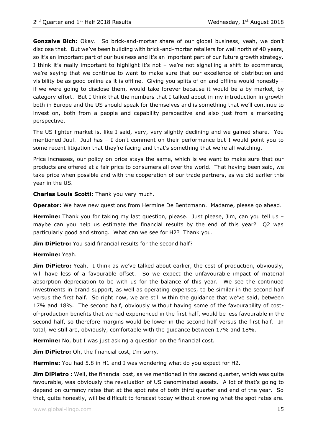**Gonzalve Bich:** Okay. So brick-and-mortar share of our global business, yeah, we don't disclose that. But we've been building with brick-and-mortar retailers for well north of 40 years, so it's an important part of our business and it's an important part of our future growth strategy. I think it's really important to highlight it's not – we're not signalling a shift to ecommerce, we're saying that we continue to want to make sure that our excellence of distribution and visibility be as good online as it is offline. Giving you splits of on and offline would honestly – if we were going to disclose them, would take forever because it would be a by market, by category effort. But I think that the numbers that I talked about in my introduction in growth both in Europe and the US should speak for themselves and is something that we'll continue to invest on, both from a people and capability perspective and also just from a marketing perspective.

The US lighter market is, like I said, very, very slightly declining and we gained share. You mentioned Juul. Juul has – I don't comment on their performance but I would point you to some recent litigation that they're facing and that's something that we're all watching.

Price increases, our policy on price stays the same, which is we want to make sure that our products are offered at a fair price to consumers all over the world. That having been said, we take price when possible and with the cooperation of our trade partners, as we did earlier this year in the US.

**Charles Louis Scotti:** Thank you very much.

**Operator:** We have new questions from Hermine De Bentzmann. Madame, please go ahead.

**Hermine:** Thank you for taking my last question, please. Just please, Jim, can you tell us maybe can you help us estimate the financial results by the end of this year? Q2 was particularly good and strong. What can we see for H2? Thank you.

**Jim DiPietro:** You said financial results for the second half?

### **Hermine:** Yeah.

**Jim DiPietro:** Yeah. I think as we've talked about earlier, the cost of production, obviously, will have less of a favourable offset. So we expect the unfavourable impact of material absorption depreciation to be with us for the balance of this year. We see the continued investments in brand support, as well as operating expenses, to be similar in the second half versus the first half. So right now, we are still within the guidance that we've said, between 17% and 18%. The second half, obviously without having some of the favourability of costof-production benefits that we had experienced in the first half, would be less favourable in the second half, so therefore margins would be lower in the second half versus the first half. In total, we still are, obviously, comfortable with the guidance between 17% and 18%.

**Hermine:** No, but I was just asking a question on the financial cost.

**Jim DiPietro:** Oh, the financial cost, I'm sorry.

**Hermine:** You had 5.8 in H1 and I was wondering what do you expect for H2.

**Jim DiPietro** : Well, the financial cost, as we mentioned in the second quarter, which was quite favourable, was obviously the revaluation of US denominated assets. A lot of that's going to depend on currency rates that at the spot rate of both third quarter and end of the year. So that, quite honestly, will be difficult to forecast today without knowing what the spot rates are.